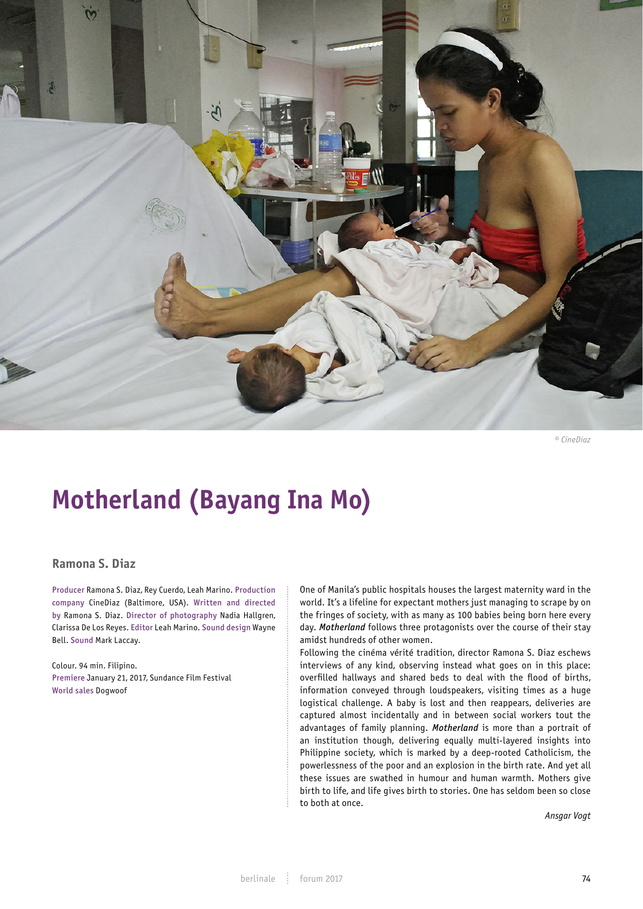

*© CineDiaz*

# **Motherland (Bayang Ina Mo)**

## **Ramona S. Diaz**

Producer Ramona S. Diaz, Rey Cuerdo, Leah Marino. Production company CineDiaz (Baltimore, USA). Written and directed by Ramona S. Diaz. Director of photography Nadia Hallgren, Clarissa De Los Reyes. Editor Leah Marino. Sound design Wayne Bell. Sound Mark Laccay.

Colour. 94 min. Filipino. Premiere January 21, 2017, Sundance Film Festival World sales Dogwoof

One of Manila's public hospitals houses the largest maternity ward in the world. It's a lifeline for expectant mothers just managing to scrape by on the fringes of society, with as many as 100 babies being born here every day. *Motherland* follows three protagonists over the course of their stay amidst hundreds of other women.

Following the cinéma vérité tradition, director Ramona S. Diaz eschews interviews of any kind, observing instead what goes on in this place: overfilled hallways and shared beds to deal with the flood of births, information conveyed through loudspeakers, visiting times as a huge logistical challenge. A baby is lost and then reappears, deliveries are captured almost incidentally and in between social workers tout the advantages of family planning. *Motherland* is more than a portrait of an institution though, delivering equally multi-layered insights into Philippine society, which is marked by a deep-rooted Catholicism, the powerlessness of the poor and an explosion in the birth rate. And yet all these issues are swathed in humour and human warmth. Mothers give birth to life, and life gives birth to stories. One has seldom been so close to both at once.

*Ansgar Vogt*